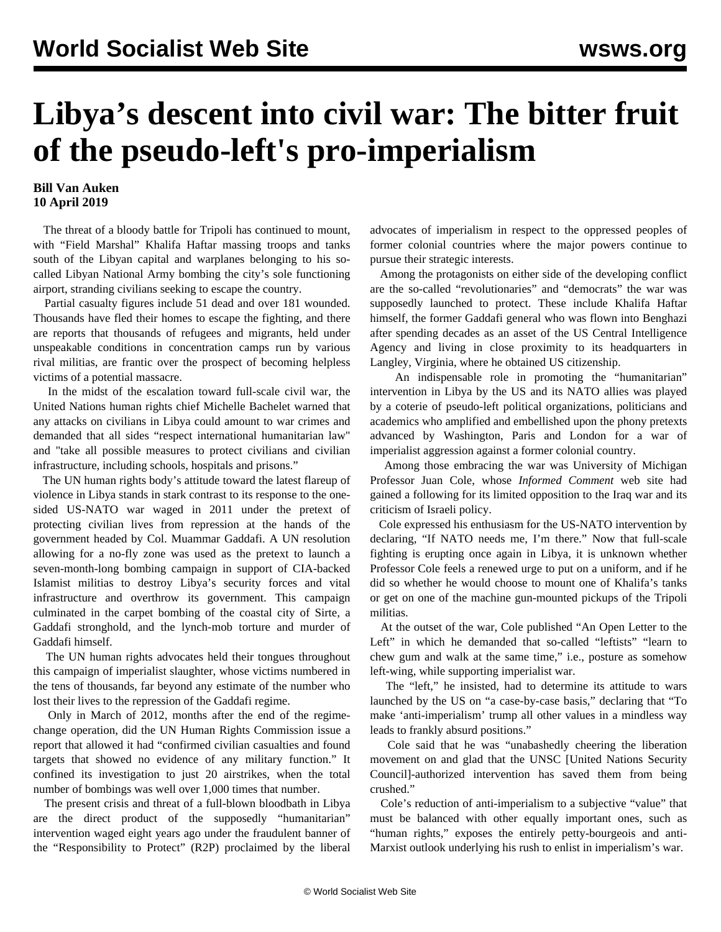## **Libya's descent into civil war: The bitter fruit of the pseudo-left's pro-imperialism**

## **Bill Van Auken 10 April 2019**

 The threat of a bloody battle for Tripoli has continued to mount, with "Field Marshal" Khalifa Haftar massing troops and tanks south of the Libyan capital and warplanes belonging to his socalled Libyan National Army bombing the city's sole functioning airport, stranding civilians seeking to escape the country.

 Partial casualty figures include 51 dead and over 181 wounded. Thousands have fled their homes to escape the fighting, and there are reports that thousands of refugees and migrants, held under unspeakable conditions in concentration camps run by various rival militias, are frantic over the prospect of becoming helpless victims of a potential massacre.

 In the midst of the escalation toward full-scale civil war, the United Nations human rights chief Michelle Bachelet warned that any attacks on civilians in Libya could amount to war crimes and demanded that all sides "respect international humanitarian law" and "take all possible measures to protect civilians and civilian infrastructure, including schools, hospitals and prisons."

 The UN human rights body's attitude toward the latest flareup of violence in Libya stands in stark contrast to its response to the onesided US-NATO war waged in 2011 under the pretext of protecting civilian lives from repression at the hands of the government headed by Col. Muammar Gaddafi. A UN resolution allowing for a no-fly zone was used as the pretext to launch a seven-month-long bombing campaign in support of CIA-backed Islamist militias to destroy Libya's security forces and vital infrastructure and overthrow its government. This campaign culminated in the carpet bombing of the coastal city of Sirte, a Gaddafi stronghold, and the lynch-mob torture and murder of Gaddafi himself.

 The UN human rights advocates held their tongues throughout this campaign of imperialist slaughter, whose victims numbered in the tens of thousands, far beyond any estimate of the number who lost their lives to the repression of the Gaddafi regime.

 Only in March of 2012, months after the end of the regimechange operation, did the UN Human Rights Commission issue a report that allowed it had "confirmed civilian casualties and found targets that showed no evidence of any military function." It confined its investigation to just 20 airstrikes, when the total number of bombings was well over 1,000 times that number.

 The present crisis and threat of a full-blown bloodbath in Libya are the direct product of the supposedly "humanitarian" intervention waged eight years ago under the fraudulent banner of the "Responsibility to Protect" (R2P) proclaimed by the liberal

advocates of imperialism in respect to the oppressed peoples of former colonial countries where the major powers continue to pursue their strategic interests.

 Among the protagonists on either side of the developing conflict are the so-called "revolutionaries" and "democrats" the war was supposedly launched to protect. These include Khalifa Haftar himself, the former Gaddafi general who was flown into Benghazi after spending decades as an asset of the US Central Intelligence Agency and living in close proximity to its headquarters in Langley, Virginia, where he obtained US citizenship.

 An indispensable role in promoting the "humanitarian" intervention in Libya by the US and its NATO allies was played by a coterie of pseudo-left political organizations, politicians and academics who amplified and embellished upon the phony pretexts advanced by Washington, Paris and London for a war of imperialist aggression against a former colonial country.

 Among those embracing the war was University of Michigan Professor Juan Cole, whose *Informed Comment* web site had gained a following for its limited opposition to the Iraq war and its criticism of Israeli policy.

 Cole expressed his enthusiasm for the US-NATO intervention by declaring, "If NATO needs me, I'm there." Now that full-scale fighting is erupting once again in Libya, it is unknown whether Professor Cole feels a renewed urge to put on a uniform, and if he did so whether he would choose to mount one of Khalifa's tanks or get on one of the machine gun-mounted pickups of the Tripoli militias.

 At the outset of the war, Cole published "An Open Letter to the Left" in which he demanded that so-called "leftists" "learn to chew gum and walk at the same time," i.e., posture as somehow left-wing, while supporting imperialist war.

 The "left," he insisted, had to determine its attitude to wars launched by the US on "a case-by-case basis," declaring that "To make 'anti-imperialism' trump all other values in a mindless way leads to frankly absurd positions."

 Cole said that he was "unabashedly cheering the liberation movement on and glad that the UNSC [United Nations Security Council]-authorized intervention has saved them from being crushed."

 Cole's reduction of anti-imperialism to a subjective "value" that must be balanced with other equally important ones, such as "human rights," exposes the entirely petty-bourgeois and anti-Marxist outlook underlying his rush to enlist in imperialism's war.